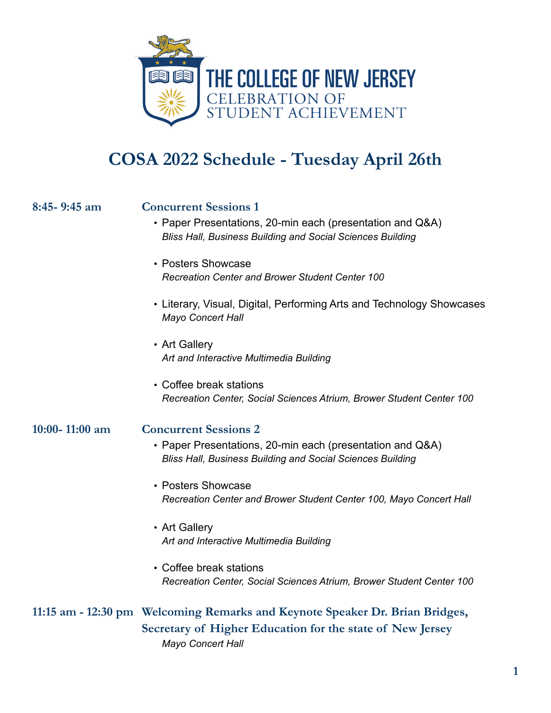

## **COSA 2022 Schedule - Tuesday April 26th**

## **8:45- 9:45 am Concurrent Sessions 1**

- Paper Presentations, 20-min each (presentation and Q&A) *Bliss Hall, Business Building and Social Sciences Building*
- Posters Showcase *Recreation Center and Brower Student Center 100*
- Literary, Visual, Digital, Performing Arts and Technology Showcases *Mayo Concert Hall*
- Art Gallery *Art and Interactive Multimedia Building*
- Coffee break stations *Recreation Center, Social Sciences Atrium, Brower Student Center 100*

**10:00- 11:00 am Concurrent Sessions 2**

- Paper Presentations, 20-min each (presentation and Q&A) *Bliss Hall, Business Building and Social Sciences Building*
- Posters Showcase *Recreation Center and Brower Student Center 100, Mayo Concert Hall*
- Art Gallery *Art and Interactive Multimedia Building*
- Coffee break stations *Recreation Center, Social Sciences Atrium, Brower Student Center 100*

## **11:15 am - 12:30 pm Welcoming Remarks and Keynote Speaker Dr. Brian Bridges, Secretary of Higher Education for the state of New Jersey** *Mayo Concert Hall*